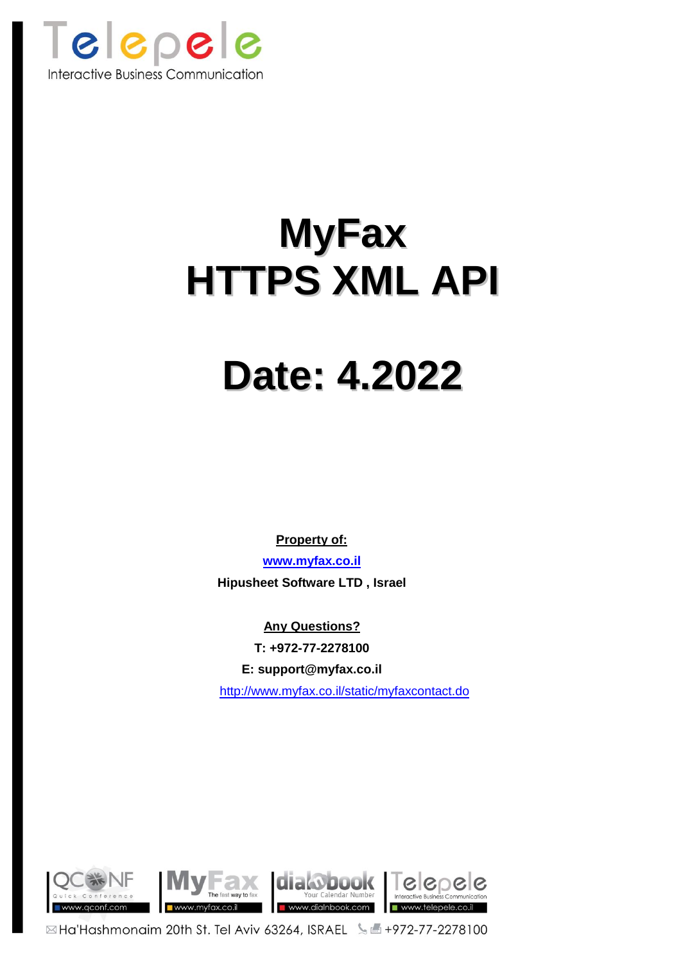

# **MyFax HTTPS XML API**

# **Date: 4.2022**

**Property of:**

**[www.myfax.co.il](http://www.myfax.co.il/) Hipusheet Software LTD , Israel**

**Any Questions? T: +972-77-2278100 E: support@myfax.co.il** <http://www.myfax.co.il/static/myfaxcontact.do>

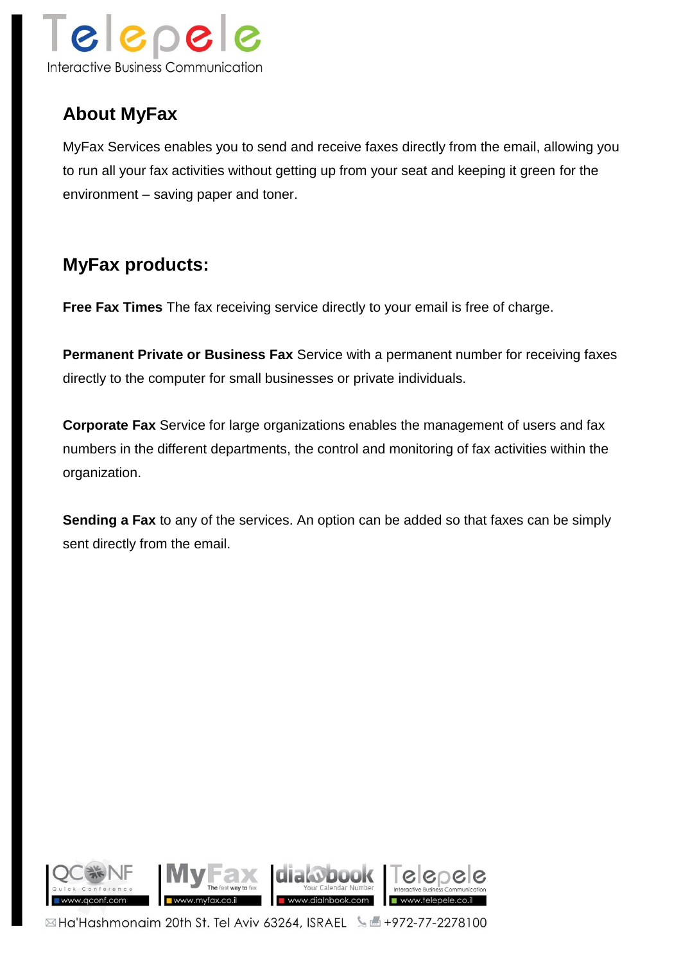

# **About MyFax**

MyFax Services enables you to send and receive faxes directly from the email, allowing you to run all your fax activities without getting up from your seat and keeping it green for the environment – saving paper and toner.

## **MyFax products:**

**Free Fax Times** The fax receiving service directly to your email is free of charge.

**Permanent Private or Business Fax** Service with a permanent number for receiving faxes directly to the computer for small businesses or private individuals.

**Corporate Fax** Service for large organizations enables the management of users and fax numbers in the different departments, the control and monitoring of fax activities within the organization.

**Sending a Fax** to any of the services. An option can be added so that faxes can be simply sent directly from the email.

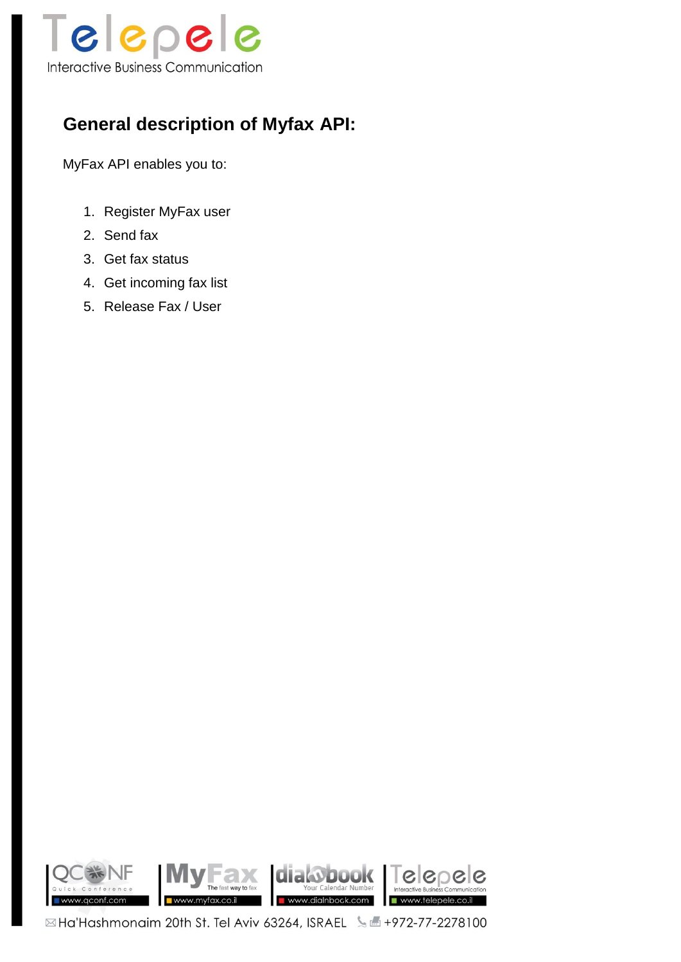

# **General description of Myfax API:**

MyFax API enables you to:

- 1. Register MyFax user
- 2. Send fax
- 3. Get fax status
- 4. Get incoming fax list
- 5. Release Fax / User

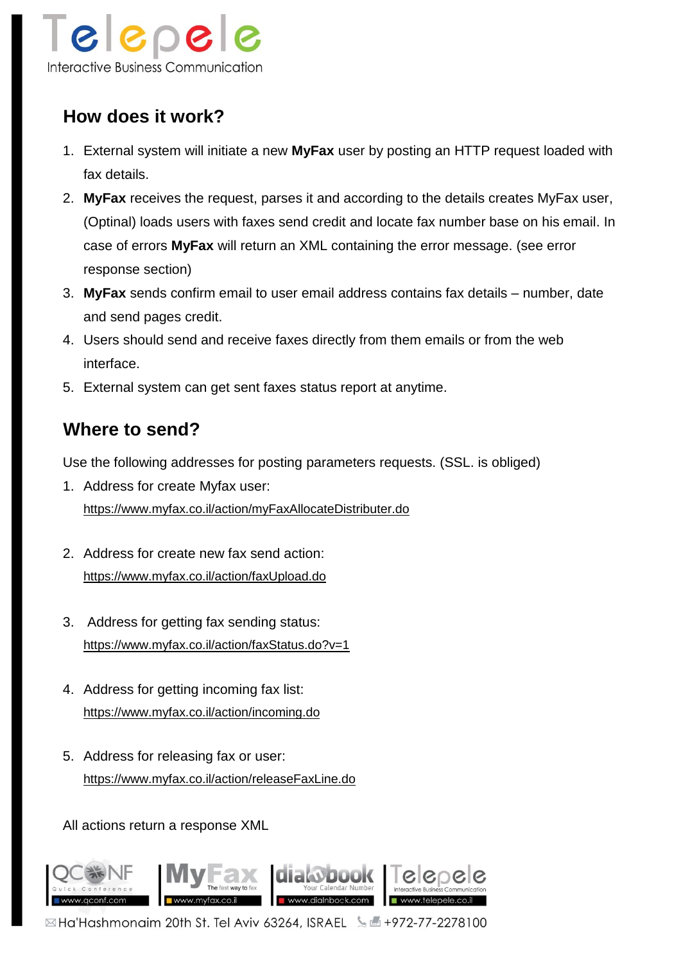

# **How does it work?**

- 1. External system will initiate a new **MyFax** user by posting an HTTP request loaded with fax details.
- 2. **MyFax** receives the request, parses it and according to the details creates MyFax user, (Optinal) loads users with faxes send credit and locate fax number base on his email. In case of errors **MyFax** will return an XML containing the error message. (see error response section)
- 3. **MyFax** sends confirm email to user email address contains fax details number, date and send pages credit.
- 4. Users should send and receive faxes directly from them emails or from the web interface.
- 5. External system can get sent faxes status report at anytime.

## **Where to send?**

Use the following addresses for posting parameters requests. (SSL. is obliged)

- 1. Address for create Myfax user: <https://www.myfax.co.il/action/myFaxAllocateDistributer.do>
- 2. Address for create new fax send action: <https://www.myfax.co.il/action/faxUpload.do>
- 3. Address for getting fax sending status: <https://www.myfax.co.il/action/faxStatus.do?v=1>
- 4. Address for getting incoming fax list: <https://www.myfax.co.il/action/incoming.do>
- 5. Address for releasing fax or user: <https://www.myfax.co.il/action/releaseFaxLine.do>

All actions return a response XML

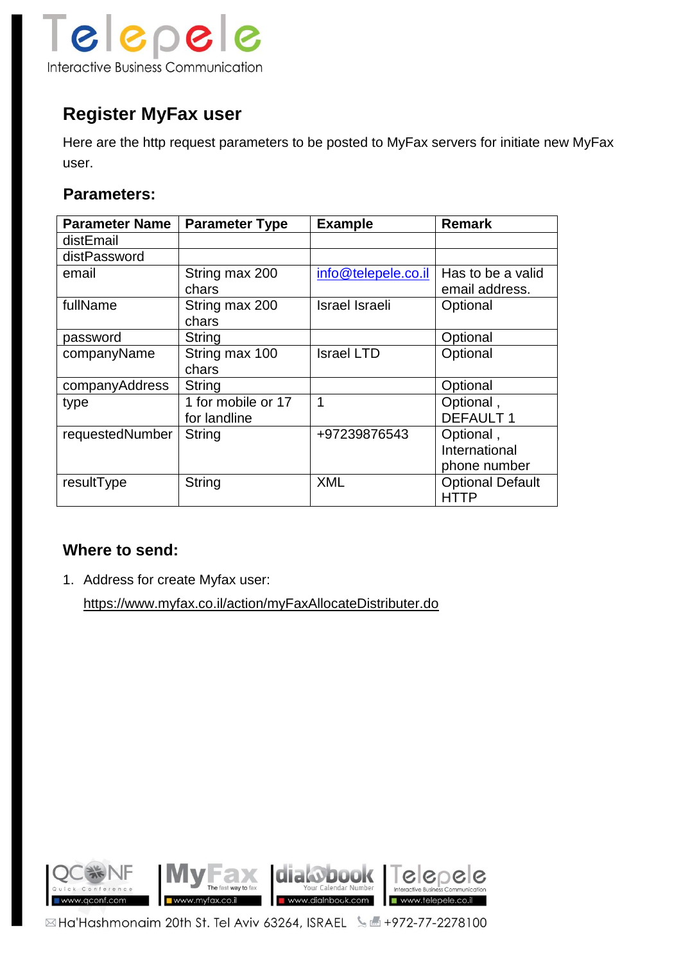

# **Register MyFax user**

Here are the http request parameters to be posted to MyFax servers for initiate new MyFax user.

### **Parameters:**

| <b>Parameter Name</b> | <b>Parameter Type</b> | <b>Example</b>        | <b>Remark</b>           |
|-----------------------|-----------------------|-----------------------|-------------------------|
| distEmail             |                       |                       |                         |
| distPassword          |                       |                       |                         |
| email                 | String max 200        | info@telepele.co.il   | Has to be a valid       |
|                       | chars                 |                       | email address.          |
| fullName              | String max 200        | <b>Israel Israeli</b> | Optional                |
|                       | chars                 |                       |                         |
| password              | String                |                       | Optional                |
| companyName           | String max 100        | <b>Israel LTD</b>     | Optional                |
|                       | chars                 |                       |                         |
| companyAddress        | String                |                       | Optional                |
| type                  | 1 for mobile or 17    | 1                     | Optional,               |
|                       | for landline          |                       | <b>DEFAULT 1</b>        |
| requestedNumber       | <b>String</b>         | +97239876543          | Optional,               |
|                       |                       |                       | International           |
|                       |                       |                       | phone number            |
| resultType            | String                | <b>XML</b>            | <b>Optional Default</b> |
|                       |                       |                       | HTTP                    |

## **Where to send:**

1. Address for create Myfax user:

<https://www.myfax.co.il/action/myFaxAllocateDistributer.do>

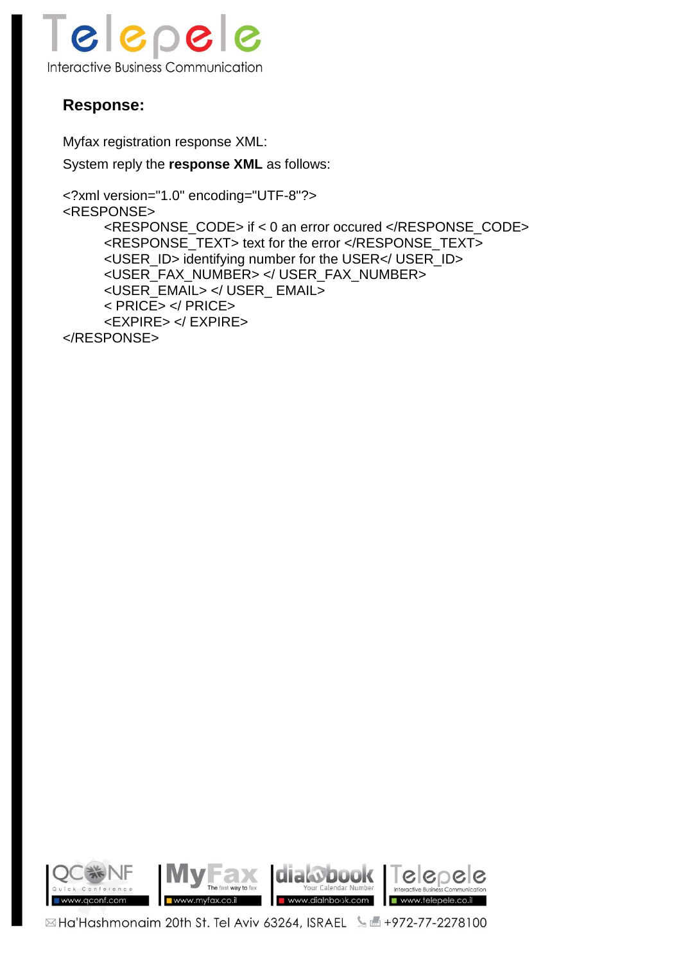

## **Response:**

Myfax registration response XML:

System reply the **response XML** as follows:

```
<?xml version="1.0" encoding="UTF-8"?>
<RESPONSE>
     <RESPONSE_CODE> if < 0 an error occured </RESPONSE_CODE>
     <RESPONSE_TEXT> text for the error </RESPONSE_TEXT>
     <USER_ID> identifying number for the USER</ USER_ID>
     <USER_FAX_NUMBER> </ USER_FAX_NUMBER>
     <USER_EMAIL> </ USER_ EMAIL>
     < PRICE> </ PRICE>
     <EXPIRE> </ EXPIRE>
</RESPONSE>
```
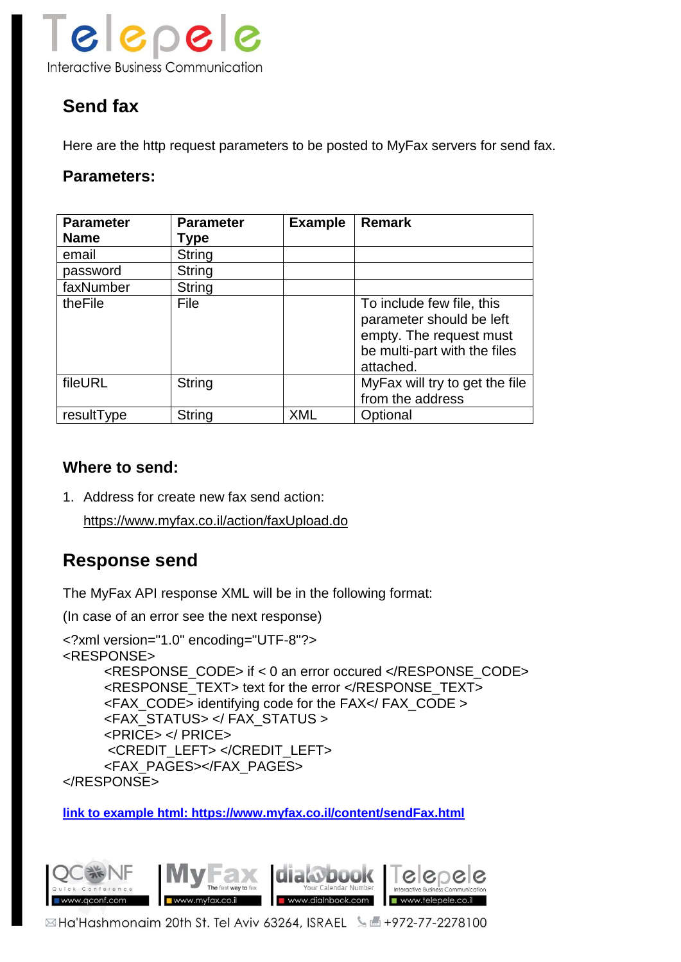

# **Send fax**

Here are the http request parameters to be posted to MyFax servers for send fax.

### **Parameters:**

| <b>Parameter</b><br><b>Name</b> | <b>Parameter</b><br>Type | <b>Example</b> | <b>Remark</b>                                                                                                                 |
|---------------------------------|--------------------------|----------------|-------------------------------------------------------------------------------------------------------------------------------|
| email                           | String                   |                |                                                                                                                               |
| password                        | String                   |                |                                                                                                                               |
| faxNumber                       | String                   |                |                                                                                                                               |
| theFile                         | File                     |                | To include few file, this<br>parameter should be left<br>empty. The request must<br>be multi-part with the files<br>attached. |
| fileURL                         | String                   |                | MyFax will try to get the file<br>from the address                                                                            |
| resultType                      | String                   | <b>XML</b>     | Optional                                                                                                                      |

### **Where to send:**

1. Address for create new fax send action:

<https://www.myfax.co.il/action/faxUpload.do>

## **Response send**

The MyFax API response XML will be in the following format:

(In case of an error see the next response)

```
<?xml version="1.0" encoding="UTF-8"?>
<RESPONSE>
     <RESPONSE_CODE> if < 0 an error occured </RESPONSE_CODE>
     <RESPONSE_TEXT> text for the error </RESPONSE_TEXT>
     <FAX_CODE> identifying code for the FAX</ FAX_CODE >
     <FAX_STATUS> </ FAX_STATUS >
     <PRICE> </ PRICE>
      <CREDIT_LEFT> </CREDIT_LEFT>
     <FAX_PAGES></FAX_PAGES> 
</RESPONSE>
```
**[link to example html: https://www.myfax.co.il/content/sendFax.html](https://www.myfax.co.il/content/sendFax.html)**

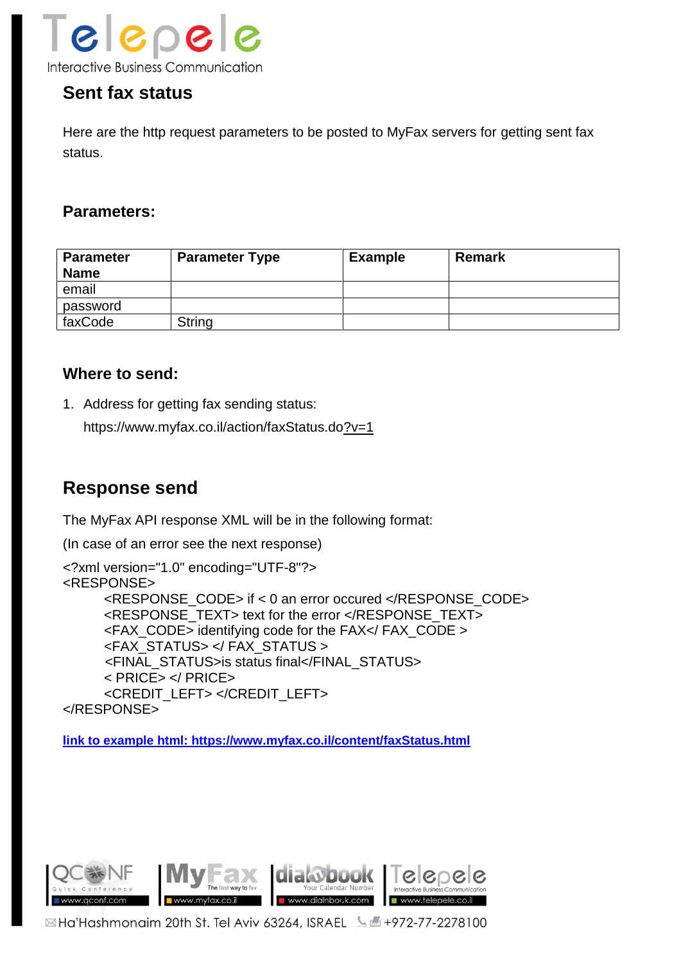

## **Sent fax status**

Here are the http request parameters to be posted to MyFax servers for getting sent fax status.

### **Parameters:**

| <b>Parameter</b><br><b>Name</b> | <b>Parameter Type</b> | <b>Example</b> | <b>Remark</b> |
|---------------------------------|-----------------------|----------------|---------------|
| email                           |                       |                |               |
| password                        |                       |                |               |
| faxCode                         | String                |                |               |

#### **Where to send:**

1. Address for getting fax sending status:

[https://www.myfax.co.il/action/faxStatus.do?](https://www.myfax.co.il/action/faxStatus.do)v=1

## **Response send**

The MyFax API response XML will be in the following format:

(In case of an error see the next response)

```
<?xml version="1.0" encoding="UTF-8"?>
<RESPONSE>
     <RESPONSE_CODE> if < 0 an error occured </RESPONSE_CODE>
     <RESPONSE_TEXT> text for the error </RESPONSE_TEXT>
     <FAX_CODE> identifying code for the FAX</ FAX_CODE >
     <FAX_STATUS> </ FAX_STATUS >
      <FINAL_STATUS>is status final</FINAL_STATUS>
     < PRICE> </ PRICE>
     <CREDIT_LEFT> </CREDIT_LEFT>
</RESPONSE>
```
**[link to example html: https://www.myfax.co.il/content/faxStatus.html](https://www.myfax.co.il/content/faxStatus.html)**

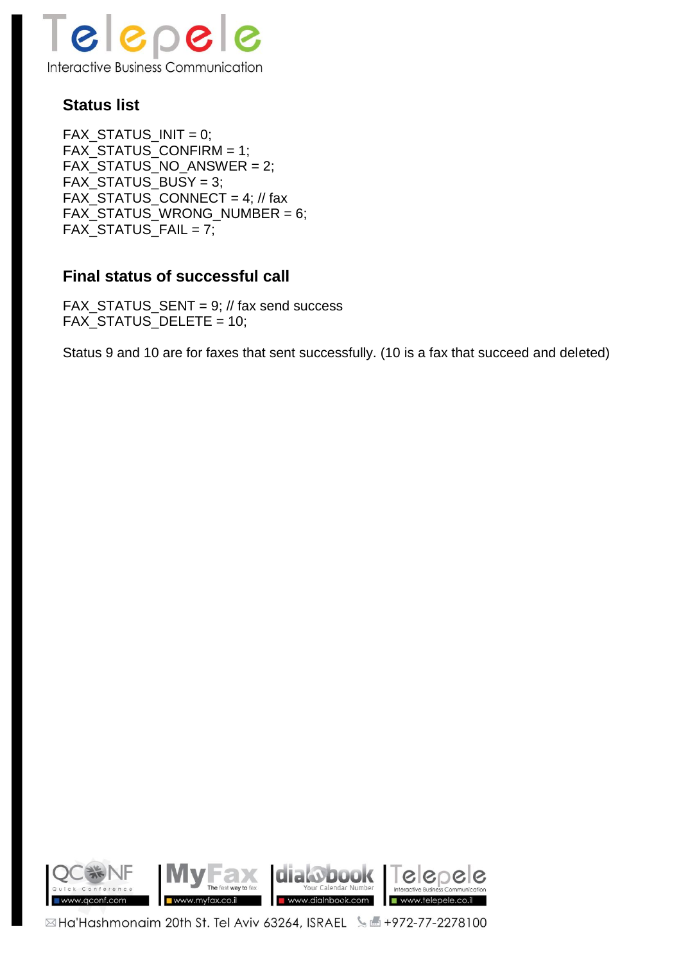

## **Status list**

 $FAX_STATUS_NINT = 0;$ FAX\_STATUS\_CONFIRM = 1; FAX\_STATUS\_NO\_ANSWER = 2; FAX\_STATUS\_BUSY = 3; FAX\_STATUS\_CONNECT = 4; // fax FAX\_STATUS\_WRONG\_NUMBER = 6; FAX STATUS FAIL = 7;

## **Final status of successful call**

FAX STATUS SENT = 9;  $\frac{1}{10}$  fax send success FAX\_STATUS\_DELETE = 10;

Status 9 and 10 are for faxes that sent successfully. (10 is a fax that succeed and deleted)

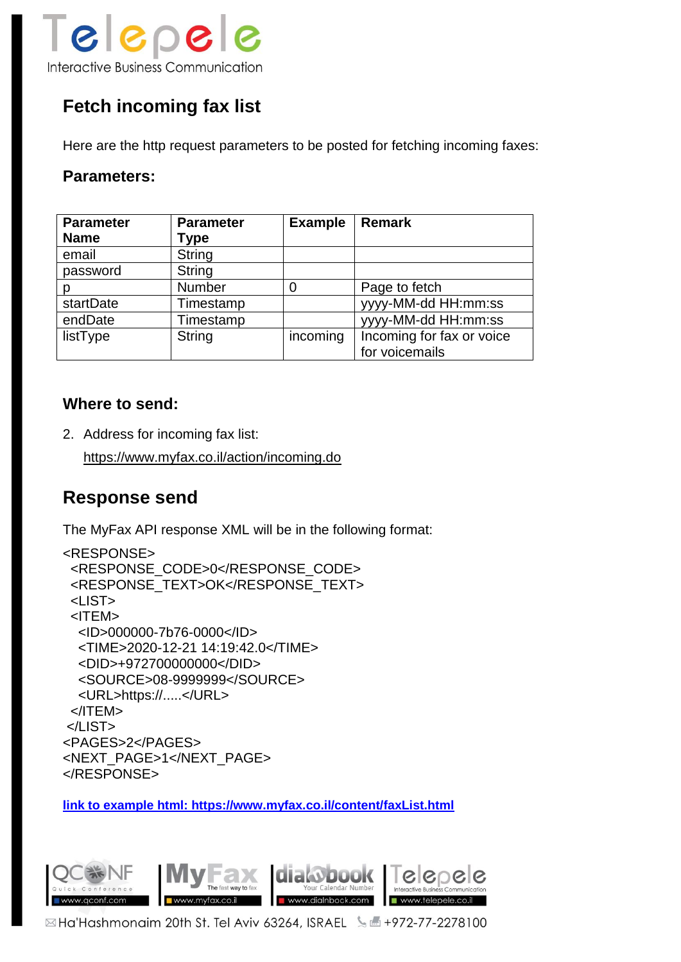

# **Fetch incoming fax list**

Here are the http request parameters to be posted for fetching incoming faxes:

#### **Parameters:**

| <b>Parameter</b> | <b>Parameter</b> | <b>Example</b> | <b>Remark</b>             |
|------------------|------------------|----------------|---------------------------|
| <b>Name</b>      | Type             |                |                           |
| email            | String           |                |                           |
| password         | <b>String</b>    |                |                           |
| D                | Number           |                | Page to fetch             |
| startDate        | Timestamp        |                | yyyy-MM-dd HH:mm:ss       |
| endDate          | Timestamp        |                | yyyy-MM-dd HH:mm:ss       |
| listType         | <b>String</b>    | incoming       | Incoming for fax or voice |
|                  |                  |                | for voicemails            |

### **Where to send:**

2. Address for incoming fax list:

https://www.myfax.co.il/action/incoming.do

## **Response send**

The MyFax API response XML will be in the following format:

```
<RESPONSE>
  <RESPONSE_CODE>0</RESPONSE_CODE>
  <RESPONSE_TEXT>OK</RESPONSE_TEXT>
  <LIST>
  <ITEM>
  <ID>000000-7b76-0000</ID>
  <TIME>2020-12-21 14:19:42.0</TIME>
  <DID>+972700000000</DID>
  <SOURCE>08-9999999</SOURCE>
  <URL>https://.....</URL>
 </ITEM>
</LIST>
<PAGES>2</PAGES>
<NEXT_PAGE>1</NEXT_PAGE>
</RESPONSE>
```
**[link to example html: https://www.myfax.co.il/content/faxList.html](https://www.myfax.co.il/content/faxList.html)**

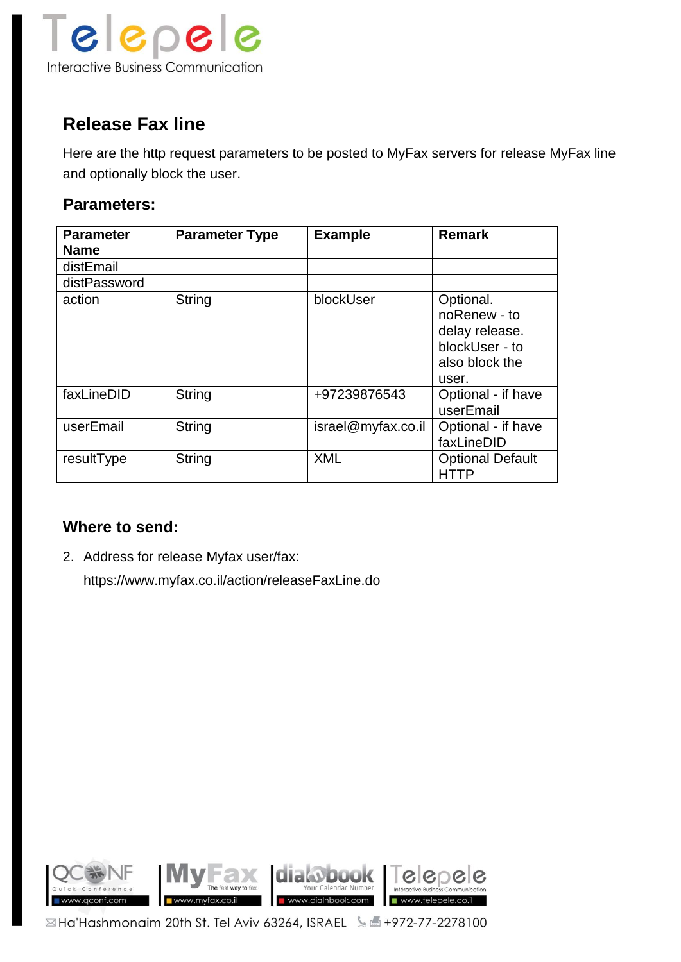

## **Release Fax line**

Here are the http request parameters to be posted to MyFax servers for release MyFax line and optionally block the user.

## **Parameters:**

| <b>Parameter</b><br><b>Name</b> | <b>Parameter Type</b> | <b>Example</b>     | <b>Remark</b>                                                                            |
|---------------------------------|-----------------------|--------------------|------------------------------------------------------------------------------------------|
| distEmail                       |                       |                    |                                                                                          |
| distPassword                    |                       |                    |                                                                                          |
| action                          | String                | blockUser          | Optional.<br>noRenew - to<br>delay release.<br>blockUser - to<br>also block the<br>user. |
| faxLineDID                      | <b>String</b>         | +97239876543       | Optional - if have<br>userEmail                                                          |
| userEmail                       | <b>String</b>         | israel@myfax.co.il | Optional - if have<br>faxLineDID                                                         |
| resultType                      | <b>String</b>         | <b>XML</b>         | <b>Optional Default</b><br><b>HTTP</b>                                                   |

## **Where to send:**

2. Address for release Myfax user/fax: <https://www.myfax.co.il/action/releaseFaxLine.do>

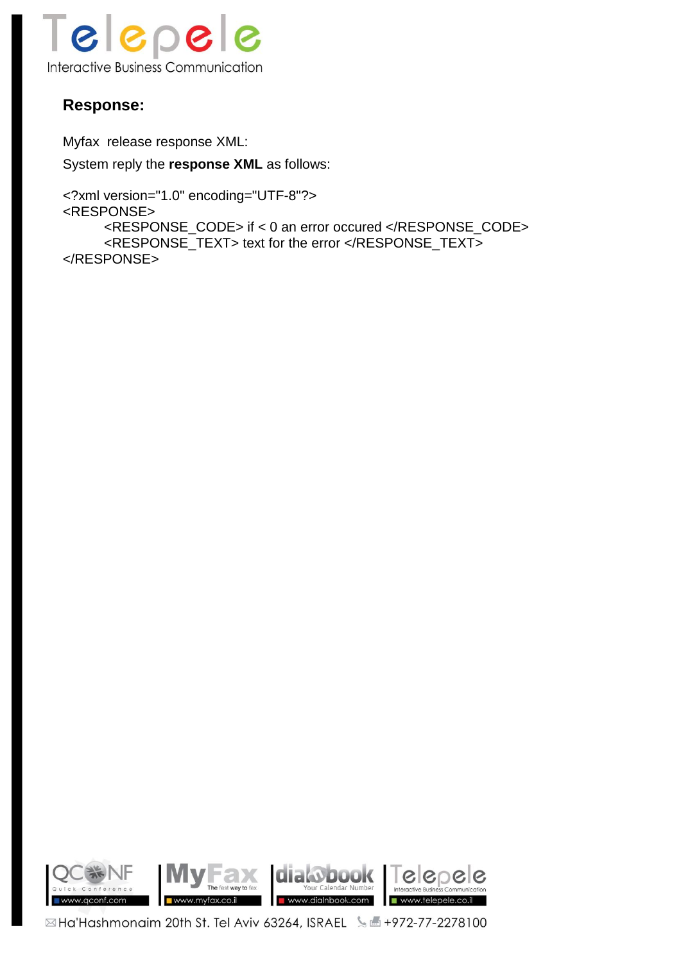

## **Response:**

Myfax release response XML:

System reply the **response XML** as follows:

```
<?xml version="1.0" encoding="UTF-8"?>
<RESPONSE>
     <RESPONSE_CODE> if < 0 an error occured </RESPONSE_CODE>
     <RESPONSE_TEXT> text for the error </RESPONSE_TEXT>
</RESPONSE>
```